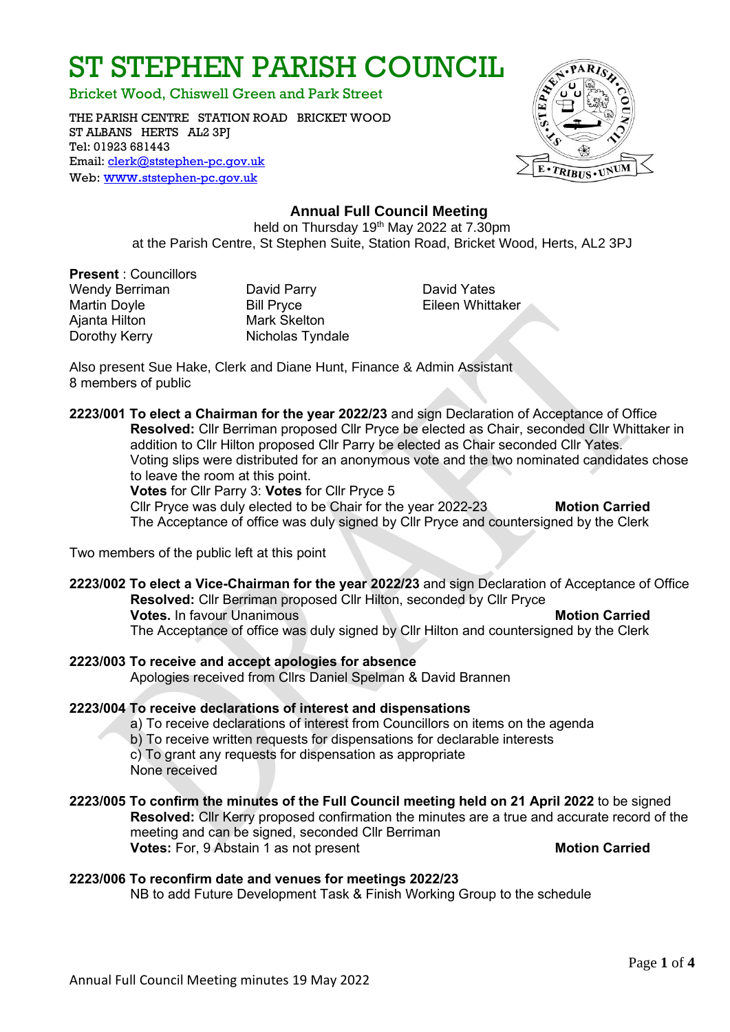# ST STEPHEN PARISH COUNCIL

Bricket Wood, Chiswell Green and Park Street

THE PARISH CENTRE STATION ROAD BRICKET WOOD ST ALBANS HERTS AL2 3PJ Tel: 01923 681443 Email: [clerk@ststephen-pc.gov.uk](mailto:clerk@ststephen-pc.gov.uk)  Web: www.[ststephen-pc.gov.uk](http://www.ststephen-pc.gov.uk/)



# **Annual Full Council Meeting**

held on Thursday 19<sup>th</sup> May 2022 at 7.30pm at the Parish Centre, St Stephen Suite, Station Road, Bricket Wood, Herts, AL2 3PJ

Dorothy Kerry **Nicholas Tyndale Present** : Councillors Wendy Berriman David Parry David Yates Ajanta Hilton Mark Skelton

**Bill Pryce** Eileen Whittaker

Also present Sue Hake, Clerk and Diane Hunt, Finance & Admin Assistant 8 members of public

**2223/001 To elect a Chairman for the year 2022/23** and sign Declaration of Acceptance of Office **Resolved:** Cllr Berriman proposed Cllr Pryce be elected as Chair, seconded Cllr Whittaker in addition to Cllr Hilton proposed Cllr Parry be elected as Chair seconded Cllr Yates. Voting slips were distributed for an anonymous vote and the two nominated candidates chose to leave the room at this point.

**Votes** for Cllr Parry 3: **Votes** for Cllr Pryce 5

Cllr Pryce was duly elected to be Chair for the year 2022-23 **Motion Carried** The Acceptance of office was duly signed by Cllr Pryce and countersigned by the Clerk

Two members of the public left at this point

#### **2223/002 To elect a Vice-Chairman for the year 2022/23** and sign Declaration of Acceptance of Office **Resolved:** Cllr Berriman proposed Cllr Hilton, seconded by Cllr Pryce

**Votes.** In favour Unanimous **Motion Carried** The Acceptance of office was duly signed by Cllr Hilton and countersigned by the Clerk

**2223/003 To receive and accept apologies for absence**

Apologies received from Cllrs Daniel Spelman & David Brannen

# **2223/004 To receive declarations of interest and dispensations**

a) To receive declarations of interest from Councillors on items on the agenda

b) To receive written requests for dispensations for declarable interests

c) To grant any requests for dispensation as appropriate None received

**2223/005 To confirm the minutes of the Full Council meeting held on 21 April 2022** to be signed **Resolved:** Cllr Kerry proposed confirmation the minutes are a true and accurate record of the meeting and can be signed, seconded Cllr Berriman **Votes:** For, 9 Abstain 1 as not present **Motion Carried** 

# **2223/006 To reconfirm date and venues for meetings 2022/23**

NB to add Future Development Task & Finish Working Group to the schedule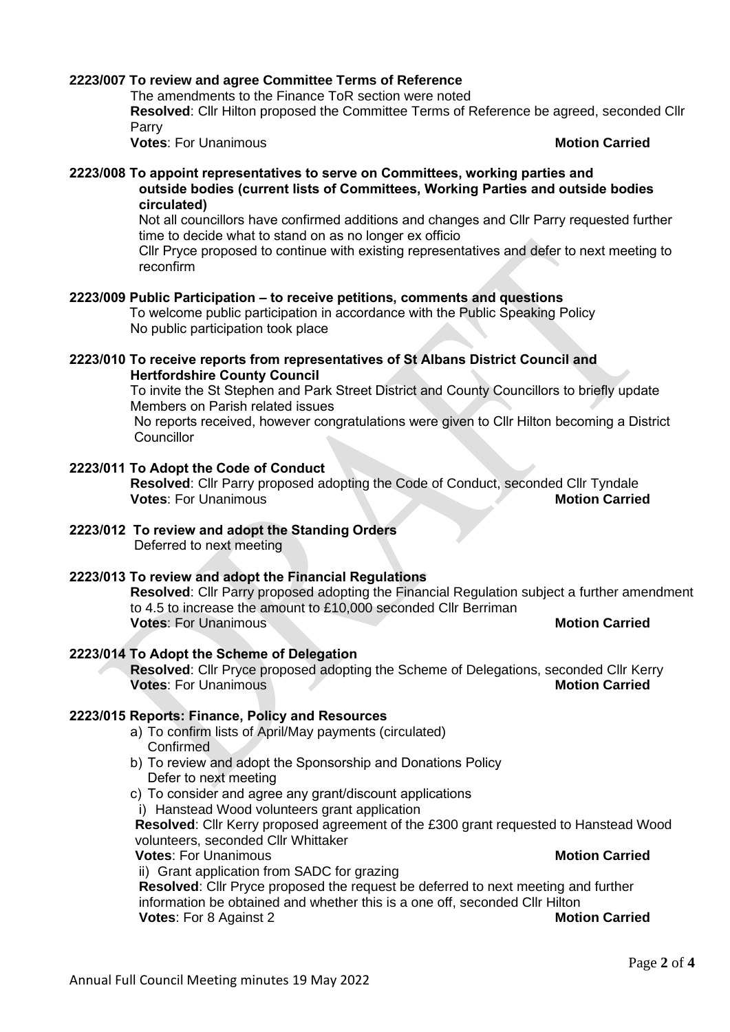## **2223/007 To review and agree Committee Terms of Reference**

The amendments to the Finance ToR section were noted

**Resolved**: Cllr Hilton proposed the Committee Terms of Reference be agreed, seconded Cllr Parry

**Votes:** For Unanimous **Motion Carried** 

#### **2223/008 To appoint representatives to serve on Committees, working parties and outside bodies (current lists of Committees, Working Parties and outside bodies circulated)**

Not all councillors have confirmed additions and changes and Cllr Parry requested further time to decide what to stand on as no longer ex officio

Cllr Pryce proposed to continue with existing representatives and defer to next meeting to reconfirm

## **2223/009 Public Participation – to receive petitions, comments and questions**

 To welcome public participation in accordance with the Public Speaking Policy No public participation took place

# **2223/010 To receive reports from representatives of St Albans District Council and Hertfordshire County Council**

To invite the St Stephen and Park Street District and County Councillors to briefly update Members on Parish related issues

No reports received, however congratulations were given to Cllr Hilton becoming a District **Councillor** 

# **2223/011 To Adopt the Code of Conduct**

**Resolved**: Cllr Parry proposed adopting the Code of Conduct, seconded Cllr Tyndale **Votes:** For Unanimous **Motion Carried** 

# **2223/012 To review and adopt the Standing Orders**

Deferred to next meeting

#### **2223/013 To review and adopt the Financial Regulations**

**Resolved**: Cllr Parry proposed adopting the Financial Regulation subject a further amendment to 4.5 to increase the amount to £10,000 seconded Cllr Berriman **Votes:** For Unanimous **Motion Carried** 

#### **2223/014 To Adopt the Scheme of Delegation**

**Resolved**: Cllr Pryce proposed adopting the Scheme of Delegations, seconded Cllr Kerry **Votes:** For Unanimous **Motion Carried** 

# **2223/015 Reports: Finance, Policy and Resources**

- a) To confirm lists of April/May payments (circulated) Confirmed
- b) To review and adopt the Sponsorship and Donations Policy Defer to next meeting
- c) To consider and agree any grant/discount applications
- i) Hanstead Wood volunteers grant application

**Resolved**: Cllr Kerry proposed agreement of the £300 grant requested to Hanstead Wood volunteers, seconded Cllr Whittaker

**Votes: For Unanimous <b>Motion Carried Motion Carried** 

ii) Grant application from SADC for grazing

**Resolved**: Cllr Pryce proposed the request be deferred to next meeting and further information be obtained and whether this is a one off, seconded Cllr Hilton **Votes: For 8 Against 2 <b>Motion Carried**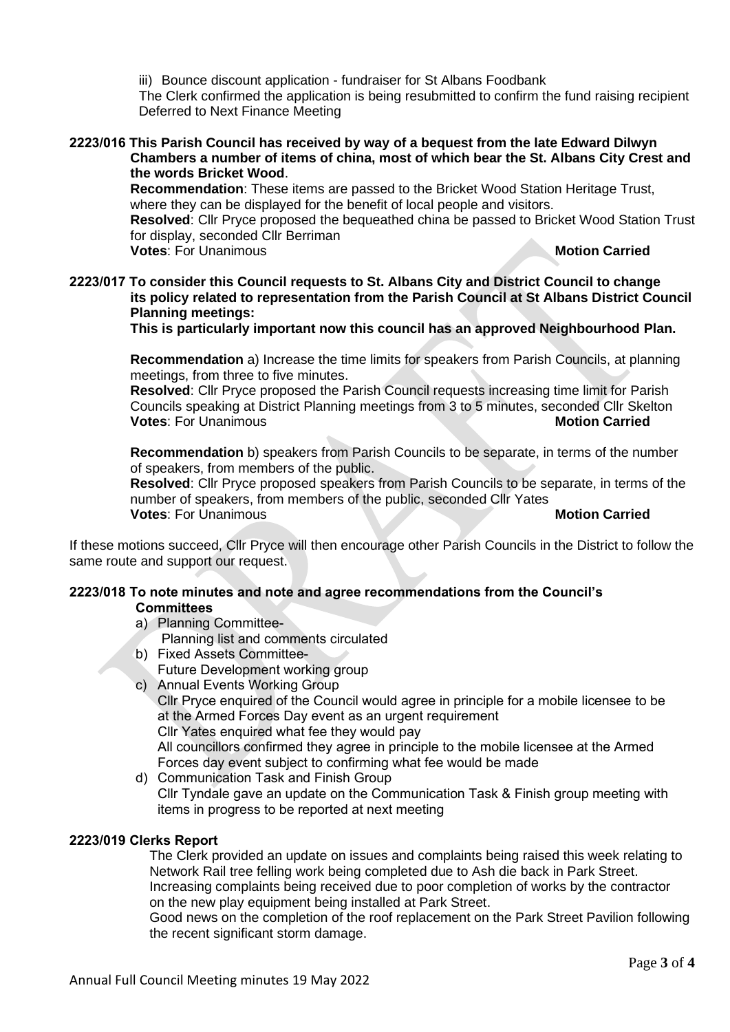iii) Bounce discount application - fundraiser for St Albans Foodbank

The Clerk confirmed the application is being resubmitted to confirm the fund raising recipient Deferred to Next Finance Meeting

## **2223/016 This Parish Council has received by way of a bequest from the late Edward Dilwyn Chambers a number of items of china, most of which bear the St. Albans City Crest and the words Bricket Wood**.

**Recommendation**: These items are passed to the Bricket Wood Station Heritage Trust, where they can be displayed for the benefit of local people and visitors. **Resolved**: Cllr Pryce proposed the bequeathed china be passed to Bricket Wood Station Trust

for display, seconded Cllr Berriman **Votes:** For Unanimous **Motion Carried** 

## **2223/017 To consider this Council requests to St. Albans City and District Council to change its policy related to representation from the Parish Council at St Albans District Council Planning meetings:**

**This is particularly important now this council has an approved Neighbourhood Plan.**

**Recommendation** a) Increase the time limits for speakers from Parish Councils, at planning meetings, from three to five minutes.

**Resolved**: Cllr Pryce proposed the Parish Council requests increasing time limit for Parish Councils speaking at District Planning meetings from 3 to 5 minutes, seconded Cllr Skelton **Votes:** For Unanimous **Motion Carried** 

**Recommendation** b) speakers from Parish Councils to be separate, in terms of the number of speakers, from members of the public.

**Resolved**: Cllr Pryce proposed speakers from Parish Councils to be separate, in terms of the number of speakers, from members of the public, seconded Cllr Yates **Votes:** For Unanimous **Motion Carried** 

If these motions succeed, Cllr Pryce will then encourage other Parish Councils in the District to follow the same route and support our request.

# **2223/018 To note minutes and note and agree recommendations from the Council's Committees**

- a) Planning Committee-
	- Planning list and comments circulated
- b) Fixed Assets Committee-
	- Future Development working group
- c) Annual Events Working Group Cllr Pryce enquired of the Council would agree in principle for a mobile licensee to be at the Armed Forces Day event as an urgent requirement Cllr Yates enquired what fee they would pay All councillors confirmed they agree in principle to the mobile licensee at the Armed Forces day event subject to confirming what fee would be made
- d) Communication Task and Finish Group Cllr Tyndale gave an update on the Communication Task & Finish group meeting with items in progress to be reported at next meeting

# **2223/019 Clerks Report**

The Clerk provided an update on issues and complaints being raised this week relating to Network Rail tree felling work being completed due to Ash die back in Park Street. Increasing complaints being received due to poor completion of works by the contractor on the new play equipment being installed at Park Street.

Good news on the completion of the roof replacement on the Park Street Pavilion following the recent significant storm damage.